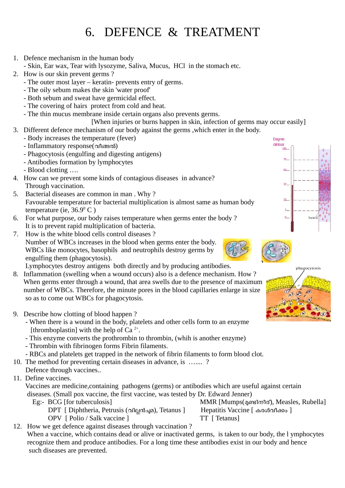## 6. DEFENCE & TREATMENT

1. Defence mechanism in the human body

- Skin, Ear wax, Tear with lysozyme, Saliva, Mucus, HCl in the stomach etc.

- 2. How is our skin prevent germs ?
	- The outer most layer keratin- prevents entry of germs.
	- The oily sebum makes the skin 'water proof'
	- Both sebum and sweat have germicidal effect.
	- The covering of hairs protect from cold and heat.
	- The thin mucus membrane inside certain organs also prevents germs.

[When injuries or burns happen in skin, infection of germs may occur easily]

- 3. Different defence mechanism of our body against the germs ,which enter in the body.
	- Body increases the temperature (fever)
	- Inflammatory response(വീങ്ങൽ)
	- Phagocytosis (engulfing and digesting antigens)
	- Antibodies formation by lymphocytes
	- Blood clotting ….
- 4. How can we prevent some kinds of contagious diseases in advance? Through vaccination.
- 5. Bacterial diseases are common in man . Why ? Favourable temperature for bacterial multiplication is almost same as human body temperature (ie,  $36.9^{\circ}$  C)
- 6. For what purpose, our body raises temperature when germs enter the body ? It is to prevent rapid multiplication of bacteria.
- 7. How is the white blood cells control diseases ? Number of WBCs increases in the blood when germs enter the body. WBCs like monocytes, basophils and neutrophils destroy germs by engulfing them (phagocytosis).

Lymphocytes destroy antigens both directly and by producing antibodies.

- 8. Inflammation (swelling when a wound occurs) also is a defence mechanism. How ? When germs enter through a wound, that area swells due to the presence of maximum number of WBCs. Therefore, the minute pores in the blood capillaries enlarge in size so as to come out WBCs for phagocytosis.
- 9. Describe how clotting of blood happen ?
- When there is a wound in the body, platelets and other cells form to an enzyme [thromboplastin] with the help of Ca<sup>2+</sup>.
	- This enzyme converts the prothrombin to thrombin, (whih is another enzyme)
	- Thrombin with fibrinogen forms Fibrin filaments.
	- RBCs and platelets get trapped in the network of fibrin filaments to form blood clot.
- 10. The method for preventing certain diseases in advance, is ….... ?
- Defence through vaccines..
- 11. Define vaccines.

 Vaccines are medicine,containing pathogens (germs) or antibodies which are useful against certain diseases. (Small pox vaccine, the first vaccine, was tested by Dr. Edward Jenner)

DPT [ Diphtheria, Petrusis (വില്ലൻച്ചമ), Tetanus ] OPV [ Polio / Salk vaccine ] TT [ Tetanus]

Eg:- BCG [for tuberculosis] MMR [Mumps(മണ്ടിനീര്), Measles, Rubella]<br>DPT [ Diphtheria, Petrusis (വില്ലൻച്ചമ), Tetanus ] Hepatitis Vaccine [ കരൾവീക്കം ]

12. How we get defence against diseases through vaccination ?

When a vaccine, which contains dead or alive or inactivated germs, is taken to our body, the l ymphocytes recognize them and produce antibodies. For a long time these antibodies exist in our body and hence such diseases are prevented.





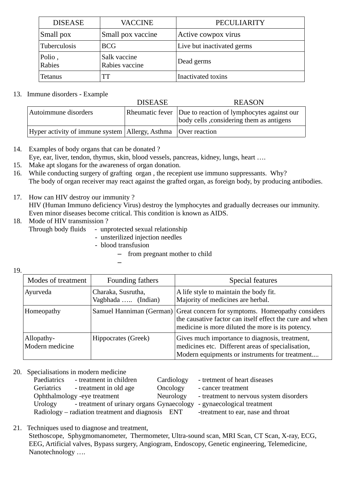| <b>DISEASE</b>   | <b>VACCINE</b>                 | PECULIARITY                |  |
|------------------|--------------------------------|----------------------------|--|
| Small pox        | Small pox vaccine              | Active cowpox virus        |  |
| Tuberculosis     | <b>BCG</b>                     | Live but inactivated germs |  |
| Polio,<br>Rabies | Salk vaccine<br>Rabies vaccine | Dead germs                 |  |
| <b>Tetanus</b>   | TT                             | Inactivated toxins         |  |

## 13. Immune disorders - Example

|                                                                   | <b>DISEASE</b> | <b>REASON</b>                                                                                          |
|-------------------------------------------------------------------|----------------|--------------------------------------------------------------------------------------------------------|
| Autoimmune disorders                                              |                | Rheumatic fever Due to reaction of lymphocytes against our<br>body cells, considering them as antigens |
| Hyper activity of immune system   Allergy, Asthma   Over reaction |                |                                                                                                        |

- 14. Examples of body organs that can be donated ?
	- Eye, ear, liver, tendon, thymus, skin, blood vessels, pancreas, kidney, lungs, heart ….
- 15. Make apt slogans for the awareness of organ donation.
- 16. While conducting surgery of grafting organ , the recepient use immuno suppressants. Why? The body of organ receiver may react against the grafted organ, as foreign body, by producing antibodies.
- 17. How can HIV destroy our immunity ? HIV (Human Immuno deficiency Virus) destroy the lymphocytes and gradually decreases our immunity. Even minor diseases become critical. This condition is known as AIDS.
- 18. Mode of HIV transmission ?
	- Through body fluids unprotected sexual relationship
		- unsterilized injection needles
		- blood transfusion

–

– from pregnant mother to child

19.

| Modes of treatment            | Founding fathers                         | Special features                                                                                                                                                                           |
|-------------------------------|------------------------------------------|--------------------------------------------------------------------------------------------------------------------------------------------------------------------------------------------|
| Ayurveda                      | Charaka, Susrutha,<br>Vagbhada  (Indian) | A life style to maintain the body fit.<br>Majority of medicines are herbal.                                                                                                                |
| Homeopathy                    |                                          | Samuel Hanniman (German) Great concern for symptoms. Homeopathy considers<br>the causative factor can itself effect the cure and when<br>medicine is more diluted the more is its potency. |
| Allopathy-<br>Modern medicine | Hippocrates (Greek)                      | Gives much importance to diagnosis, treatment,<br>medicines etc. Different areas of specialisation,<br>Modern equipments or instruments for treatment                                      |

20. Specialisations in modern medicine

| Paediatrics | - treatment in children                                             | Cardiology | - tretment of heart diseases            |
|-------------|---------------------------------------------------------------------|------------|-----------------------------------------|
| Geriatrics  | - treatment in old age                                              | Oncology   | - cancer treatment                      |
|             | Ophthalmology -eye treatment                                        | Neurology  | - treatment to nervous system disorders |
| Urology     | - treatment of urinary organs Gynaecology                           |            | - gynaecological treatment              |
|             | $\alpha$ Radiology – radiation treatment and diagnosis $\alpha$ ENT |            | -treatment to ear, nase and throat      |

21. Techniques used to diagnose and treatment,

 Stethoscope, Sphygmomanometer, Thermometer, Ultra-sound scan, MRI Scan, CT Scan, X-ray, ECG, EEG, Artificial valves, Bypass surgery, Angiogram, Endoscopy, Genetic engineering, Telemedicine, Nanotechnology ….